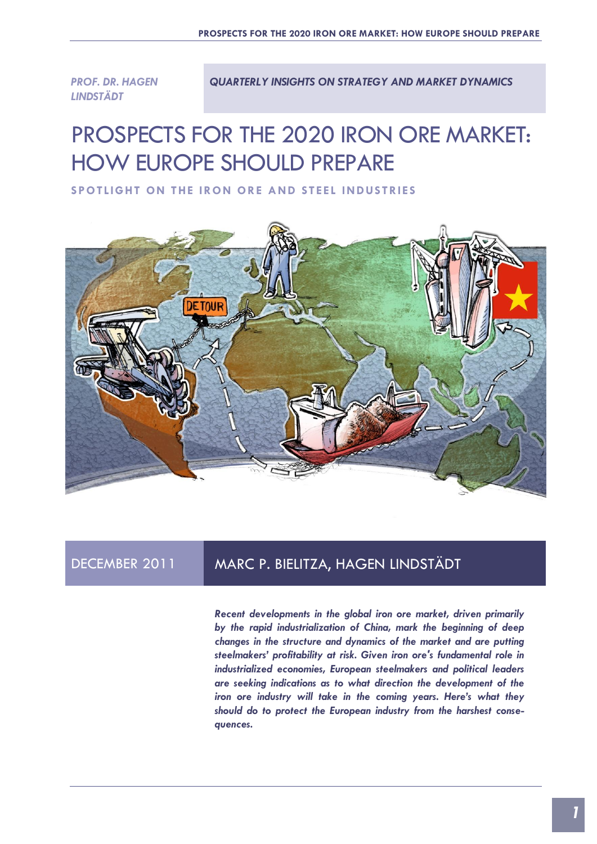*PROF. DR. HAGEN LINDSTÄDT* 

*QUARTERLY INSIGHTS ON STRATEGY AND MARKET DYNAMICS*

# PROSPECTS FOR THE 2020 IRON ORE MARKET: HOW EUROPE SHOULD PREPARE

SPOTLIGHT ON THE IRON ORE AND STEEL INDUSTRIES



## DECEMBER 2011 MARC P. BIELITZA, HAGEN LINDSTÄDT

*Recent developments in the global iron ore market, driven primarily by the rapid industrialization of China, mark the beginning of deep changes in the structure and dynamics of the market and are putting steelmakers' profitability at risk. Given iron ore's fundamental role in industrialized economies, European steelmakers and political leaders are seeking indications as to what direction the development of the iron ore industry will take in the coming years. Here's what they should do to protect the European industry from the harshest consequences.*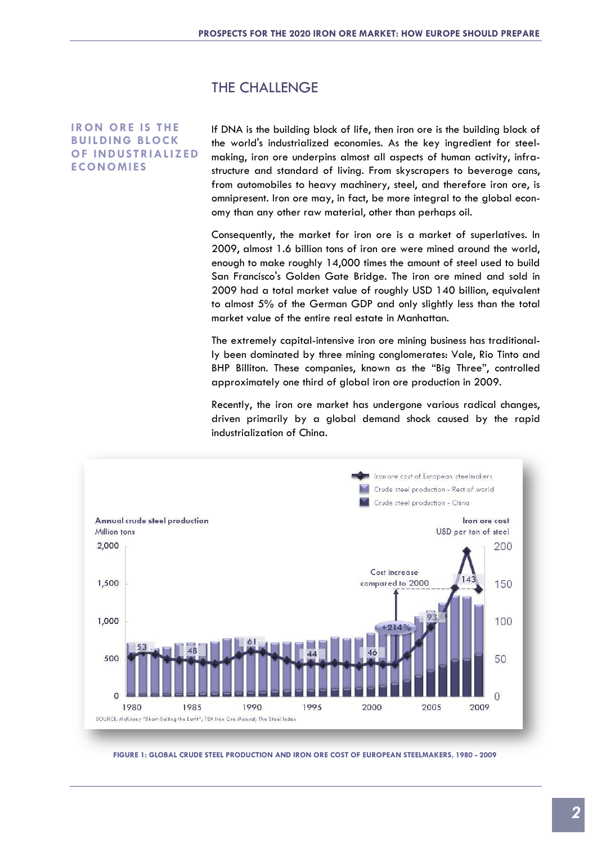#### THE CHALLENGE

#### **IRON ORE IS THE BUILDING BLOCK OF INDUSTRIALIZED ECONOMIES**

If DNA is the building block of life, then iron ore is the building block of the world's industrialized economies. As the key ingredient for steelmaking, iron ore underpins almost all aspects of human activity, infrastructure and standard of living. From skyscrapers to beverage cans, from automobiles to heavy machinery, steel, and therefore iron ore, is omnipresent. Iron ore may, in fact, be more integral to the global economy than any other raw material, other than perhaps oil.

Consequently, the market for iron ore is a market of superlatives. In 2009, almost 1.6 billion tons of iron ore were mined around the world, enough to make roughly 14,000 times the amount of steel used to build San Francisco's Golden Gate Bridge. The iron ore mined and sold in 2009 had a total market value of roughly USD 140 billion, equivalent to almost 5% of the German GDP and only slightly less than the total market value of the entire real estate in Manhattan.

The extremely capital-intensive iron ore mining business has traditionally been dominated by three mining conglomerates: Vale, Rio Tinto and BHP Billiton. These companies, known as the "Big Three", controlled approximately one third of global iron ore production in 2009.

Recently, the iron ore market has undergone various radical changes, driven primarily by a global demand shock caused by the rapid industrialization of China.



**FIGURE 1: GLOBAL CRUDE STEEL PRODUCTION AND IRON ORE COST OF EUROPEAN STEELMAKERS, 1980 - 2009**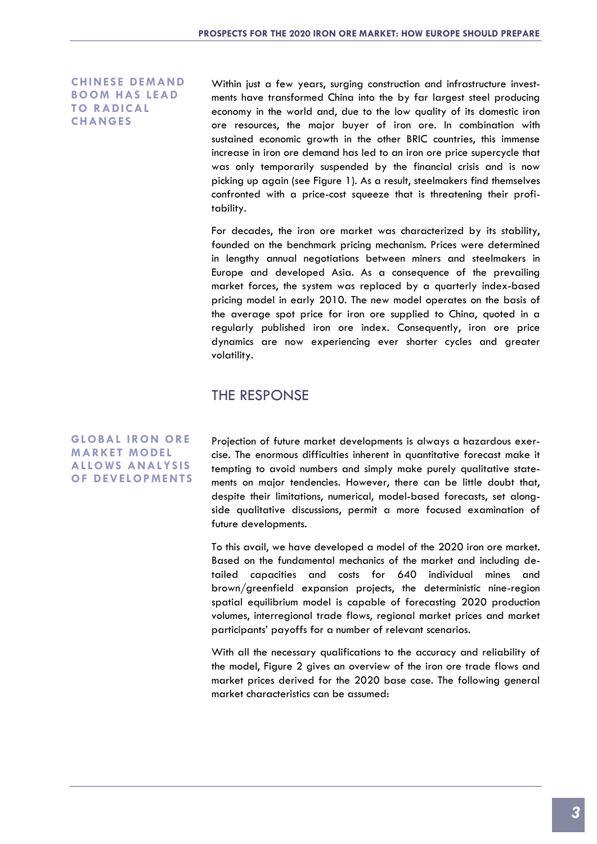**CHINESE DEMAND BOOM HAS LEAD TO RADICAL CHANGES**

Within just a few years, surging construction and infrastructure investments have transformed China into the by far largest steel producing economy in the world and, due to the low quality of its domestic iron ore resources, the major buyer of iron ore. In combination with sustained economic growth in the other BRIC countries, this immense increase in iron ore demand has led to an iron ore price supercycle that was only temporarily suspended by the financial crisis and is now picking up again (see Figure 1). As a result, steelmakers find themselves confronted with a price-cost squeeze that is threatening their profitability.

For decades, the iron ore market was characterized by its stability, founded on the benchmark pricing mechanism. Prices were determined in lengthy annual negotiations between miners and steelmakers in Europe and developed Asia. As a consequence of the prevailing market forces, the system was replaced by a quarterly index-based pricing model in early 2010. The new model operates on the basis of the average spot price for iron ore supplied to China, quoted in a regularly published iron ore index. Consequently, iron ore price dynamics are now experiencing ever shorter cycles and greater volatility.

### THE RESPONSE

**GLOBAL IRON ORE MARKET MODEL AL LOWS ANALYS I S OF DEVELOPMENTS**

Projection of future market developments is always a hazardous exercise. The enormous difficulties inherent in quantitative forecast make it tempting to avoid numbers and simply make purely qualitative statements on major tendencies. However, there can be little doubt that, despite their limitations, numerical, model-based forecasts, set alongside qualitative discussions, permit a more focused examination of future developments.

To this avail, we have developed a model of the 2020 iron ore market. Based on the fundamental mechanics of the market and including detailed capacities and costs for 640 individual mines and brown/greenfield expansion projects, the deterministic nine-region spatial equilibrium model is capable of forecasting 2020 production volumes, interregional trade flows, regional market prices and market participants' payoffs for a number of relevant scenarios.

With all the necessary qualifications to the accuracy and reliability of the model, Figure 2 gives an overview of the iron ore trade flows and market prices derived for the 2020 base case. The following general market characteristics can be assumed: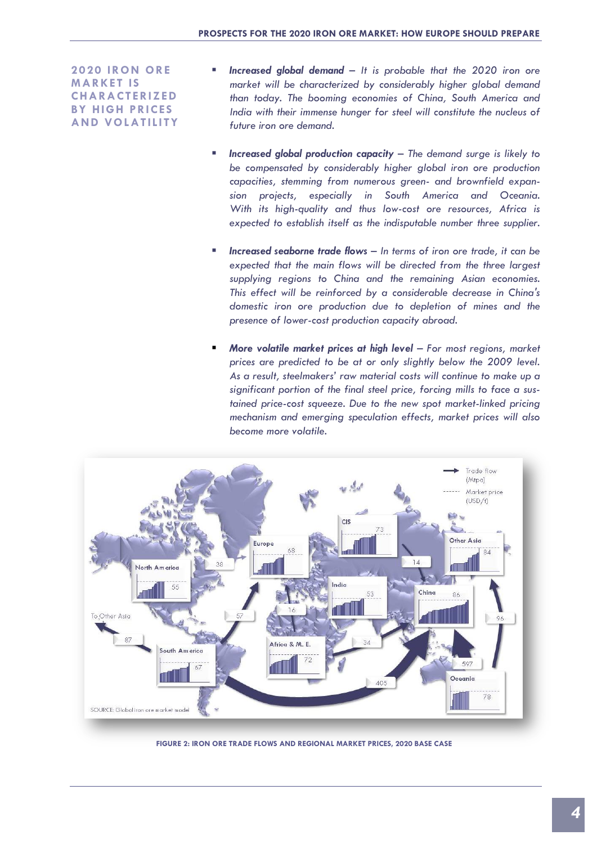**2020 IRON ORE MARKET IS CHARACTERIZED BY HIGH PRICES AND VOLATILITY**

- *Increased global demand – It is probable that the 2020 iron ore market will be characterized by considerably higher global demand than today. The booming economies of China, South America and India with their immense hunger for steel will constitute the nucleus of future iron ore demand.*
- *Increased global production capacity – The demand surge is likely to be compensated by considerably higher global iron ore production capacities, stemming from numerous green- and brownfield expansion projects, especially in South America and Oceania. With its high-quality and thus low-cost ore resources, Africa is expected to establish itself as the indisputable number three supplier.*
- *Increased seaborne trade flows – In terms of iron ore trade, it can be*  expected that the main flows will be directed from the three largest *supplying regions to China and the remaining Asian economies. This effect will be reinforced by a considerable decrease in China's domestic iron ore production due to depletion of mines and the presence of lower-cost production capacity abroad.*
- *More volatile market prices at high level – For most regions, market prices are predicted to be at or only slightly below the 2009 level. As a result, steelmakers' raw material costs will continue to make up a significant portion of the final steel price, forcing mills to face a sustained price-cost squeeze. Due to the new spot market-linked pricing mechanism and emerging speculation effects, market prices will also become more volatile.*



**FIGURE 2: IRON ORE TRADE FLOWS AND REGIONAL MARKET PRICES, 2020 BASE CASE**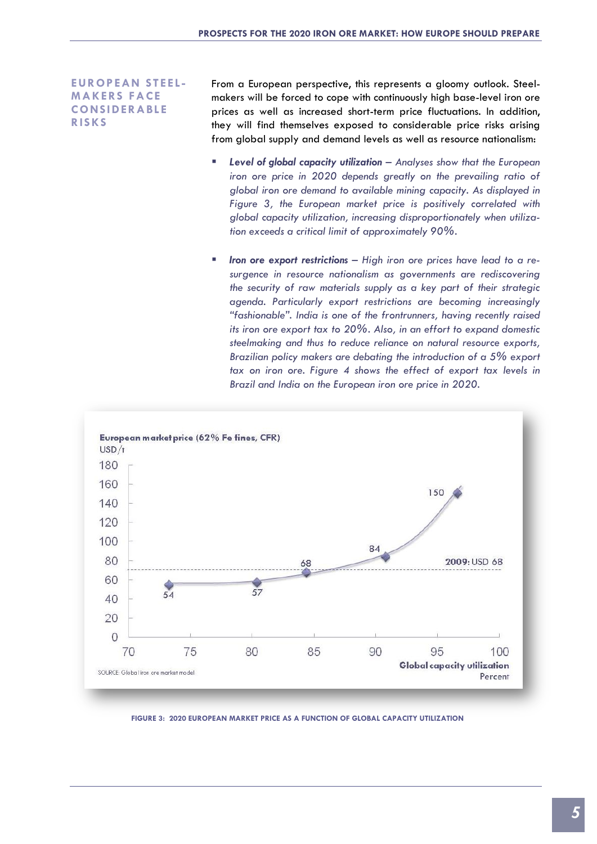**EUROPEAN STEE L - MAKERS FACE CONSIDERABLE RIS KS**

From a European perspective, this represents a gloomy outlook. Steelmakers will be forced to cope with continuously high base-level iron ore prices as well as increased short-term price fluctuations. In addition, they will find themselves exposed to considerable price risks arising from global supply and demand levels as well as resource nationalism:

- *Level of global capacity utilization – Analyses show that the European iron ore price in 2020 depends greatly on the prevailing ratio of global iron ore demand to available mining capacity. As displayed in Figure 3, the European market price is positively correlated with global capacity utilization, increasing disproportionately when utilization exceeds a critical limit of approximately 90%.*
- *Iron ore export restrictions – High iron ore prices have lead to a resurgence in resource nationalism as governments are rediscovering the security of raw materials supply as a key part of their strategic agenda. Particularly export restrictions are becoming increasingly "fashionable". India is one of the frontrunners, having recently raised its iron ore export tax to 20%. Also, in an effort to expand domestic steelmaking and thus to reduce reliance on natural resource exports, Brazilian policy makers are debating the introduction of a 5% export tax on iron ore. Figure 4 shows the effect of export tax levels in Brazil and India on the European iron ore price in 2020.*



**FIGURE 3: 2020 EUROPEAN MARKET PRICE AS A FUNCTION OF GLOBAL CAPACITY UTILIZATION**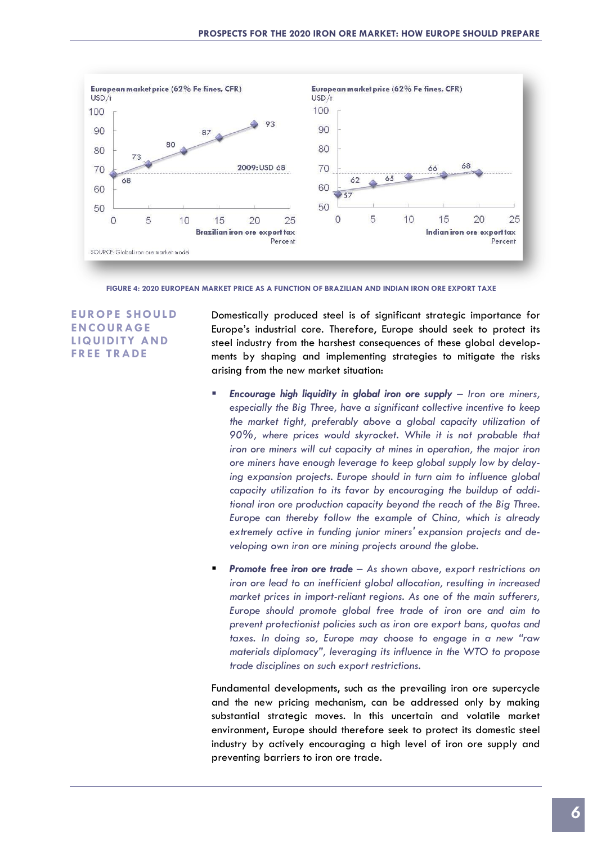

**FIGURE 4: 2020 EUROPEAN MARKET PRICE AS A FUNCTION OF BRAZILIAN AND INDIAN IRON ORE EXPORT TAXE**

**EUROPE S HOULD ENCOURAGE LIQUIDITY AND FREE TRADE**

Domestically produced steel is of significant strategic importance for Europe's industrial core. Therefore, Europe should seek to protect its steel industry from the harshest consequences of these global developments by shaping and implementing strategies to mitigate the risks arising from the new market situation:

- *Encourage high liquidity in global iron ore supply – Iron ore miners, especially the Big Three, have a significant collective incentive to keep the market tight, preferably above a global capacity utilization of 90%, where prices would skyrocket. While it is not probable that iron ore miners will cut capacity at mines in operation, the major iron ore miners have enough leverage to keep global supply low by delaying expansion projects. Europe should in turn aim to influence global capacity utilization to its favor by encouraging the buildup of additional iron ore production capacity beyond the reach of the Big Three. Europe can thereby follow the example of China, which is already extremely active in funding junior miners' expansion projects and developing own iron ore mining projects around the globe.*
- *Promote free iron ore trade – As shown above, export restrictions on iron ore lead to an inefficient global allocation, resulting in increased market prices in import-reliant regions. As one of the main sufferers, Europe should promote global free trade of iron ore and aim to prevent protectionist policies such as iron ore export bans, quotas and taxes. In doing so, Europe may choose to engage in a new "raw materials diplomacy", leveraging its influence in the WTO to propose trade disciplines on such export restrictions.*

Fundamental developments, such as the prevailing iron ore supercycle and the new pricing mechanism, can be addressed only by making substantial strategic moves. In this uncertain and volatile market environment, Europe should therefore seek to protect its domestic steel industry by actively encouraging a high level of iron ore supply and preventing barriers to iron ore trade.